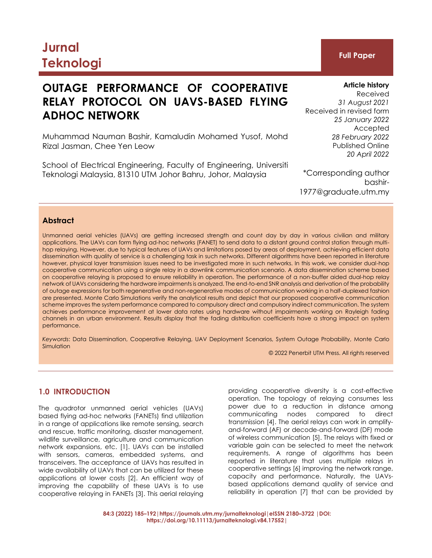# **Jurnal Teknologi Full Paper**

## **OUTAGE PERFORMANCE OF COOPERATIVE RELAY PROTOCOL ON UAVS-BASED FLYING ADHOC NETWORK**

Muhammad Nauman Bashir, Kamaludin Mohamed Yusof, Mohd Rizal Jasman, Chee Yen Leow

School of Electrical Engineering, Faculty of Engineering, Universiti Teknologi Malaysia, 81310 UTM Johor Bahru, Johor, Malaysia

Received *31 August 2021* Received in revised form *25 January 2022* Accepted *28 February 2022* Published Online *20 April 2022*

\*Corresponding author bashir-1977@graduate.utm.my

#### **Abstract**

Unmanned aerial vehicles (UAVs) are getting increased strength and count day by day in various civilian and military applications. The UAVs can form flying ad-hoc networks (FANET) to send data to a distant ground control station through multihop relaying. However, due to typical features of UAVs and limitations posed by areas of deployment, achieving efficient data dissemination with quality of service is a challenging task in such networks. Different algorithms have been reported in literature however, physical layer transmission issues need to be investigated more in such networks. In this work, we consider dual-hop cooperative communication using a single relay in a downlink communication scenario. A data dissemination scheme based on cooperative relaying is proposed to ensure reliability in operation. The performance of a non-buffer aided dual-hop relay network of UAVs considering the hardware impairments is analyzed. The end-to-end SNR analysis and derivation of the probability of outage expressions for both regenerative and non-regenerative modes of communication working in a half-duplexed fashion are presented. Monte Carlo Simulations verify the analytical results and depict that our proposed cooperative communication scheme improves the system performance compared to compulsory direct and compulsory indirect communication. The system achieves performance improvement at lower data rates using hardware without impairments working on Rayleigh fading channels in an urban environment. Results display that the fading distribution coefficients have a strong impact on system performance.

*Keywords*: Data Dissemination, Cooperative Relaying, UAV Deployment Scenarios, System Outage Probability, Monte Carlo Simulation

© 2022 Penerbit UTM Press. All rights reserved

#### **1.0 INTRODUCTION**

The quadrotor unmanned aerial vehicles (UAVs) based flying ad-hoc networks (FANETs) find utilization in a range of applications like remote sensing, search and rescue, traffic monitoring, disaster management, wildlife surveillance, agriculture and communication network expansions, etc. [1]. UAVs can be installed with sensors, cameras, embedded systems, and transceivers. The acceptance of UAVs has resulted in wide availability of UAVs that can be utilized for these applications at lower costs [2]. An efficient way of improving the capability of these UAVs is to use cooperative relaying in FANETs [3]. This aerial relaying

providing cooperative diversity is a cost-effective operation. The topology of relaying consumes less power due to a reduction in distance among communicating nodes compared to direct transmission [4]. The aerial relays can work in amplifyand-forward (AF) or decode-and-forward (DF) mode of wireless communication [5]. The relays with fixed or variable gain can be selected to meet the network requirements. A range of algorithms has been reported in literature that uses multiple relays in cooperative settings [6] improving the network range, capacity and performance. Naturally, the UAVsbased applications demand quality of service and reliability in operation [7] that can be provided by

#### **Article history**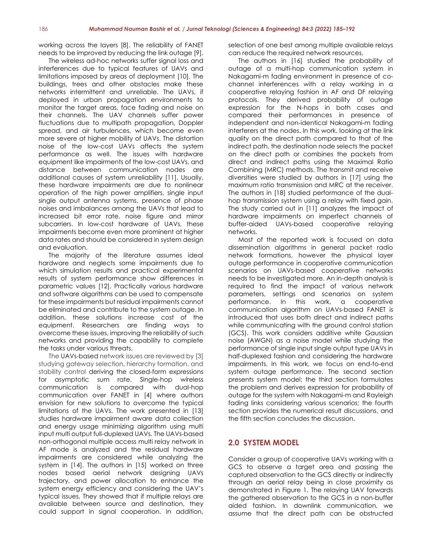working across the layers [8]. The reliability of FANET needs to be improved by reducing the link outage [9].

The wireless ad-hoc networks suffer signal loss and interferences due to typical features of UAVs and limitations imposed by areas of deployment [10]. The buildings, trees and other obstacles make these networks intermittent and unreliable. The UAVs, if deployed in urban propagation environments to monitor the target areas, face fading and noise on their channels. The UAV channels suffer power fluctuations due to multipath propagation, Doppler spread, and air turbulences, which become even more severe at higher mobility of UAVs. The distortion noise of the low-cost UAVs affects the system performance as well. The issues with hardware equipment like impairments of the low-cost UAVs, and distance between communication nodes are additional causes of system unreliability [11]. Usually, these hardware impairments are due to nonlinear operation of the high power amplifiers, single input single output antenna systems, presence of phase noises and imbalances among the UAVs that lead to increased bit error rate, noise figure and mirror subcarriers. In low-cost hardware of UAVs, these impairments become even more prominent at higher data rates and should be considered in system design and evaluation.

The majority of the literature assumes ideal hardware and neglects some impairments due to which simulation results and practical experimental results of system performance show differences in parametric values [12]. Practically various hardware and software algorithms can be used to compensate for these impairments but residual impairments cannot be eliminated and contribute to the system outage. In addition, these solutions increase cost of the equipment. Researchers are finding ways to overcome these issues, improving the reliability of such networks and providing the capability to complete the tasks under various threats.

The UAVs-based network issues are reviewed by [3] studying gateway selection, hierarchy formation, and stability control deriving the closed-form expressions for asymptotic sum rate. Single-hop wireless communication is compared with dual-hop communication over FANET in [4] where authors envision for new solutions to overcome the typical limitations of the UAVs. The work presented in [13] studies hardware impairment aware data collection and energy usage minimizing algorithm using multi input multi output full-duplexed UAVs. The UAVs-based non-orthogonal multiple access multi relay network in AF mode is analyzed and the residual hardware impairments are considered while analyzing the system in [14]. The authors in [15] worked on three nodes based aerial network designing UAVs trajectory, and power allocation to enhance the system energy efficiency and considering the UAV's typical issues. They showed that if multiple relays are available between source and destination, they could support in signal cooperation. In addition,

selection of one best among multiple available relays can reduce the required network resources.

The authors in [16] studied the probability of outage of a multi-hop communication system in Nakagami-m fading environment in presence of cochannel interferences with a relay working in a cooperative relaying fashion in AF and DF relaying protocols. They derived probability of outage expression for the N-hops in both cases and compared their performances in presence of independent and non-identical Nakagami-m fading interferers at the nodes. In this work, looking at the link quality on the direct path compared to that of the indirect path, the destination node selects the packet on the direct path or combines the packets from direct and indirect paths using the Maximal Ratio Combining (MRC) methods. The transmit and receive diversities were studied by authors in [17] using the maximum ratio transmission and MRC at the receiver. The authors in [18] studied performance of the dualhop transmission system using a relay with fixed gain. The study carried out in [11] analyzes the impact of hardware impairments on imperfect channels of buffer-aided UAVs-based cooperative relaying networks.

Most of the reported work is focused on data dissemination algorithms in general packet radio network formations, however the physical layer outage performance in cooperative communication scenarios on UAVs-based cooperative networks needs to be investigated more. An in-depth analysis is required to find the impact of various network parameters, settings and scenarios on system performance. In this work, a cooperative communication algorithm on UAVs-based FANET is introduced that uses both direct and indirect paths while communicating with the ground control station (GCS). This work considers additive white Gaussian noise (AWGN) as a noise model while studying the performance of single input single output type UAVs in half-duplexed fashion and considering the hardware impairments. In this work, we focus on end-to-end system outage performance. The second section presents system model; the third section formulates the problem and derives expression for probability of outage for the system with Nakagami-m and Rayleigh fading links considering various scenarios; the fourth section provides the numerical result discussions, and the fifth section concludes the discussion.

#### **2.0 SYSTEM MODEL**

Consider a group of cooperative UAVs working with a GCS to observe a target area and passing the captured observation to the GCS directly or indirectly through an aerial relay being in close proximity as demonstrated in Figure 1. The relaying UAV forwards the gathered observation to the GCS in a non-buffer aided fashion. In downlink communication, we assume that the direct path can be obstructed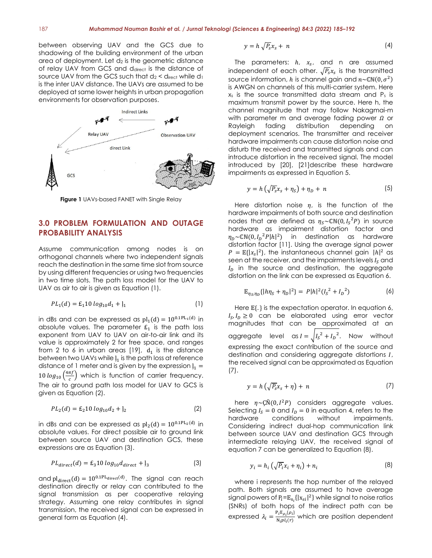between observing UAV and the GCS due to shadowing of the building environment of the urban area of deployment. Let  $d_2$  is the geometric distance of relay UAV from GCS and ddirect is the distance of source UAV from the GCS such that  $d_2$  < direct while  $d_1$ is the inter UAV distance. The UAVs are assumed to be deployed at same lower heights in urban propagation environments for observation purposes.



**Figure 1** UAVs-based FANET with Single Relay

#### **3.0 PROBLEM FORMULATION AND OUTAGE PROBABILITY ANALYSIS**

Assume communication among nodes is on orthogonal channels where two independent signals reach the destination in the same time slot from source by using different frequencies or using two frequencies in two time slots. The path loss model for the UAV to UAV as air to air is given as Equation (1).

$$
PL_1(d) = E_1 10 \log_{10} d_1 + l_1 \tag{1}
$$

in dBs and can be expressed as  $pl_1(d) = 10^{0.1PL_1(d)}$  in absolute values. The parameter  $E_1$  is the path loss exponent from UAV to UAV on air-to-air link and its value is approximately 2 for free space, and ranges from 2 to 6 in urban areas  $[19]$ ,  $d_1$  is the distance between two UAVs while  $l_1$  is the path loss at reference distance of 1 meter and is given by the expression  $J_1 =$ 10  $log_{10} (\frac{4 \pi f}{c})$  $\frac{n}{c}$ ) which is function of carrier frequency. The air to ground path loss model for UAV to GCS is given as Equation (2).

$$
PL_2(d) = \mathcal{E}_2 10 \log_{10} d_2 + \mathbf{j}_2 \tag{2}
$$

in dBs and can be expressed as  $pl_2(d) = 10^{0.1PL_2(d)}$  in absolute values. For direct possible air to ground link between source UAV and destination GCS, these expressions are as Equation (3).

$$
PL_{direct}(d) = \mathcal{E}_3 10 \log_{10} d_{direct} + \mathcal{E}_3 \tag{3}
$$

and  $pl_{direct}(d) = 10^{0.1PL_{direct}(d)}$ . The signal can reach destination directly or relay can contributed to the signal transmission as per cooperative relaying strategy. Assuming one relay contributes in signal transmission, the received signal can be expressed in general form as Equation (4).

$$
y = h \sqrt{P_s} x_s + n \tag{4}
$$

The parameters:  $h$ ,  $x_s$ , and n are assumed independent of each other.  $\sqrt{\mathit{P}_{\!s}}x_{\scriptscriptstyle S}$  is the transmitted source information, h is channel gain and  $n \sim \mathbb{CN}(0,\sigma^2)$ is AWGN on channels of this multi-carrier system. Here  $x<sub>s</sub>$  is the source transmitted data stream and  $P<sub>s</sub>$  is maximum transmit power by the source. Here h, the channel magnitude that may follow Nakagmai-m with parameter m and average fading power  $\Omega$  or Rayleigh fading distribution depending on deployment scenarios. The transmitter and receiver hardware impairments can cause distortion noise and disturb the received and transmitted signals and can introduce distortion in the received signal. The model introduced by [20], [21]describe these hardware impairments as expressed in Equation 5.

$$
y = h\left(\sqrt{P_s}x_s + \eta_s\right) + \eta_D + n\tag{5}
$$

Here distortion noise  $\eta$ , is the function of the hardware impairments of both source and destination nodes that are defined as  $\eta_S{\sim}\mathbb{CN}(0,{I_S}^2 P)$  in source hardware as impairment distortion factor and  $\eta_D \sim \mathbb{CN}(0, I_D^{-2} P |h|^2)$  in destination as hardware distortion factor [11]. Using the average signal power  $P = \mathbb{E}\{|x_s|^2\}$ , the instantaneous channel gain  $|h|^2$  as seen at the receiver, and the impairments levels  $I_s$  and  $I<sub>D</sub>$  in the source and destination, the aggregate distortion on the link can be expressed as Equation 6.

$$
\mathbb{E}_{\eta_S, \eta_D}\{|h\eta_S + \eta_D|^2\} = P|h|^2(I_S^2 + I_D^2) \tag{6}
$$

Here  ${\mathbb E}{\{\cdot\}}$  is the expectation operator. In equation 6,  $I_S, I_D \geq 0$  can be elaborated using error vector magnitudes that can be approximated at an aggregate level as  $I = \sqrt{I_s^2 + I_p^2}$ . Now without expressing the exact contribution of the source and destination and considering aggregate distortions  $I$ , the received signal can be approximated as Equation (7).

$$
y = h\left(\sqrt{P_s}x_s + \eta\right) + n\tag{7}
$$

here  $\eta \sim \zeta \tilde{N}(0, I^2 P)$  considers aggregate values. Selecting  $I_s = 0$  and  $I_p = 0$  in equation 4, refers to the hardware conditions without impairments. impairments. Considering indirect dual-hop communication link between source UAV and destination GCS through intermediate relaying UAV, the received signal of equation 7 can be generalized to Equation (8).

$$
y_i = h_i \left( \sqrt{P_i} x_i + \eta_i \right) + n_i \tag{8}
$$

where i represents the hop number of the relayed path. Both signals are assumed to have average signal powers of  $P_i = \mathbb{E}_{s_i}\{|x_{si}|^2\}$  while signal to noise ratios (SNRs) of both hops of the indirect path can be expressed  $\lambda_i = \frac{P_i E_{\rho_i} {\rho_i} }{N_i n! \cdot (r)}$  $\frac{\partial P_{\mu\nu}(\mathcal{P}_D)}{\partial \mathcal{N}_i p l_i(r)}$  which are position dependent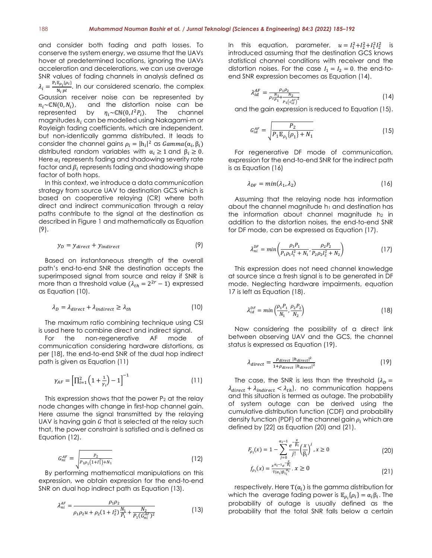and consider both fading and path losses. To conserve the system energy, we assume that the UAVs hover at predetermined locations, ignoring the UAVs acceleration and decelerations, we can use average SNR values of fading channels in analysis defined as  $\lambda_i = \frac{P_i \mathbb{E}_{\rho_i} {\{\rho_i\}}}{N \cdot n!}$  $\frac{\mu_{\hat{p}_i}(\mu_i)}{N_i\,pl}$ . In our considered scenario, the complex Gaussian receiver noise can be represented by  $n_i \sim \mathbb{CN}(0, N_i)$ , and the distortion noise can be represented by  $n_i \sim \mathbb{CN}(0, I^2 P_i)$ . The channel by  $\eta_i \sim \mathbb{CN}(0, I^2 P_i)$ . channel magnitudes  $h_i$  can be modelled using Nakagami-m or Rayleigh fading coefficients, which are independent, but non-identically gamma distributed. It leads to consider the channel gains  $\rho_i = |h_i|^2$  as  $Gamma(\alpha_i, \beta_i)$ distributed random variables with  $\alpha_i \geq 1$  and  $\beta_i \geq 0$ . Here  $\alpha_i$  represents fading and shadowing severity rate factor and  $\beta_i$  represents fading and shadowing shape factor of both hops.

In this context, we introduce a data communication strategy from source UAV to destination GCS which is based on cooperative relaying (CR) where both direct and indirect communication through a relay paths contribute to the signal at the destination as described in Figure 1 and mathematically as Equation (9).

$$
y_D = y_{direct} + y_{indirect}
$$
 (9)

Based on instantaneous strength of the overall path's end-to-end SNR the destination accepts the superimposed signal from source and relay if SNR is more than a threshold value  $(\lambda_{th} = 2^{2r} - 1)$  expressed as Equation (10).

$$
\lambda_D = \lambda_{direct} + \lambda_{indirect} \ge \lambda_{th}
$$
 (10)

The maximum ratio combining technique using CSI is used here to combine direct and indirect signal.

For the non-regenerative AF mode of communication considering hardware distortions, as per [18], the end-to-end SNR of the dual hop indirect path is given as Equation (11)

$$
\gamma_{AF} = \left[\prod_{i=1}^{2} \left(1 + \frac{1}{\gamma_i}\right) - 1\right]^{-1} \tag{11}
$$

This expression shows that the power  $P_2$  at the relay node changes with change in first-hop channel gain. Here assume the signal transmitted by the relaying UAV is having gain  $G$  that is selected at the relay such that, the power constraint is satisfied and is defined as Equation (12).

$$
G_{ni}^{AF} = \sqrt{\frac{P_2}{P_1 \rho_1 (1 + l_1^2) + N_1}}
$$
(12)

By performing mathematical manipulations on this expression, we obtain expression for the end-to-end SNR on dual hop indirect path as Equation (13).

$$
\lambda_{ni}^{AF} = \frac{\rho_1 \rho_2}{\rho_1 \rho_2 u + \rho_2 (1 + l_2^2) \frac{N_1}{P_1} + \frac{N_2}{P_1 (G_{ni}^{AF})^2}}
$$
(13)

In this equation, parameter,  $u = I_1^2 + I_2^2 + I_1^2 I_2^2$  is introduced assuming that the destination GCS knows statistical channel conditions with receiver and the distortion noises. For the case  $I_1 = I_2 = 0$ , the end-toend SNR expression becomes as Equation (14).

$$
\lambda_{id}^{AF} = \frac{\rho_1 \rho_2}{\rho_2 \frac{N_1}{p_1} + \frac{N_2}{p_1 \left(c_{id}^{AF}\right)^2}}
$$
(14)

and the gain expression is reduced to Equation (15).

$$
G_{id}^{AF} = \sqrt{\frac{P_2}{P_1 \mathbb{E}_{\rho_1} \{\rho_1\} + N_1}}
$$
(15)

For regenerative DF mode of communication, expression for the end-to-end SNR for the indirect path is as Equation (16)

$$
\lambda_{DF} = min(\lambda_1, \lambda_2) \tag{16}
$$

Assuming that the relaying node has information about the channel magnitude  $h_1$  and destination has the information about channel magnitude  $h_2$  in addition to the distortion noises, the end-to-end SNR for DF mode, can be expressed as Equation (17).

$$
\lambda_{ni}^{DF} = min \left( \frac{\rho_1 P_1}{P_1 \rho_1 I_1^2 + N_1}, \frac{\rho_2 P_2}{P_2 \rho_2 I_2^2 + N_2} \right) \tag{17}
$$

This expression does not need channel knowledge at source since a fresh signal is to be generated in DF mode. Neglecting hardware impairments, equation 17 is left as Equation (18).

$$
\lambda_{id}^{DF} = \min\left(\frac{\rho_1 P_1}{N_1}, \frac{\rho_2 P_2}{N_2}\right) \tag{18}
$$

Now considering the possibility of a direct link between observing UAV and the GCS, the channel status is expressed as Equation (19).

$$
\lambda_{direct} = \frac{\rho_{direct} |h_{direct}|^2}{1 + \rho_{direct} |h_{direct}|^2}
$$
\n(19)

The case, the SNR is less than the threshold  $(\lambda_D =$  $\lambda_{direct} + \lambda_{indirect} < \lambda_{th}$ , no communication happens and this situation is termed as outage. The probability of system outage can be derived using the cumulative distribution function (CDF) and probability density function (PDF) of the channel gain  $\rho_i$  which are defined by [22] as Equation (20) and (21).

$$
F_{\rho_i}(x) = 1 - \sum_{j=0}^{\alpha_i - 1} \frac{e^{-\frac{x}{\beta_i}}}{j!} \left(\frac{x}{\beta_i}\right)^j, x \ge 0
$$
 (20)

$$
f_{\rho_i}(x) = \frac{x^{\alpha_i - 1} e^{-\frac{x}{\beta_i}}}{\tau(\alpha_i)\beta_i^{\alpha_i}}, x \ge 0
$$
\n(21)

respectively. Here  $T(\alpha_i)$  is the gamma distribution for which the average fading power is  $\mathbb{E}_{\rho_i} {\{\rho_i\}} = \alpha_i \beta_i$ . The probability of outage is usually defined as the probability that the total SNR falls below a certain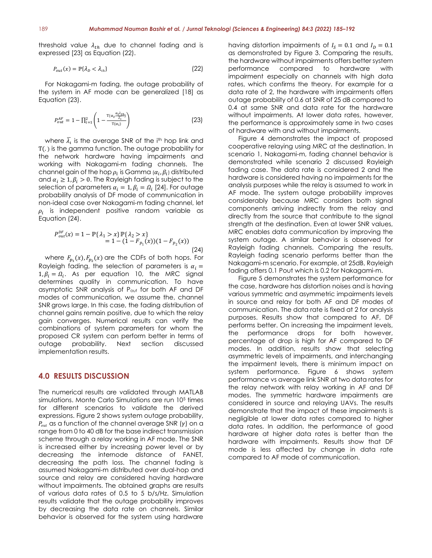threshold value  $\lambda_{th}$  due to channel fading and is expressed [23] as Equation (22).

$$
P_{out}(x) = \mathbb{P}\{\lambda_D < \lambda_{th}\}\tag{22}
$$

For Nakagami-m fading, the outage probability of the system in AF mode can be generalized [18] as Equation (23).

$$
P_{out}^{AF} = 1 - \prod_{i=1}^{2} \left( 1 - \frac{\tau(\alpha_i \frac{\alpha_i \lambda_{th}}{\bar{\lambda}_i})}{\tau(\alpha_i)} \right) \tag{23}
$$

where  $\bar{\lambda_i}$  is the average SNR of the i<sup>th</sup> hop link and Ƭ(. ) is the gamma function. The outage probability for the network hardware having impairments and working with Nakagami-m fading channels. The channel gain of the hop  $\rho_i$  is Gamma ( $\alpha_i, \beta_i$ ) distributed and  $\alpha_i \geq 1, \beta_i > 0$ . The Rayleigh fading is subject to the selection of parameters  $\alpha_i = 1, \beta_i = \Omega_i$  [24]. For outage probability analysis of DF mode of communication in non-ideal case over Nakagami-m fading channel, let  $\rho_i$  is independent positive random variable as Equation (24).

$$
P_{out}^{DF}(x) = 1 - \mathbb{P}\{\lambda_1 > x\} \mathbb{P}\{\lambda_2 > x\}
$$
  
= 1 - (1 - F\_{p\_1}(x))(1 - F\_{p\_2}(x)) (24)

where  $F_{p_1}(x)$ ,  $F_{p_2}(x)$  are the CDFs of both hops. For Rayleigh fading, the selection of parameters is  $\alpha_i =$  $1, \beta_i = \Omega_i$ . As per equation 10, the MRC signal determines quality in communication. To have asymptotic SNR analysis of Pout for both AF and DF modes of communication, we assume the, channel SNR grows large. In this case, the fading distribution of channel gains remain positive, due to which the relay gain converges. Numerical results can verify the combinations of system parameters for whom the proposed CR system can perform better in terms of outage probability. Next section discussed implementation results.

### **4.0 RESULTS DISCUSSION**

The numerical results are validated through MATLAB simulations. Monte Carlo Simulations are run 10<sup>5</sup> times for different scenarios to validate the derived expressions. Figure 2 shows system outage probability,  $P_{out}$  as a function of the channel average SNR (y) on a range from 0 to 40 dB for the base indirect transmission scheme through a relay working in AF mode. The SNR is increased either by increasing power level or by decreasing the internode distance of FANET, decreasing the path loss. The channel fading is assumed Nakagami-m distributed over dual-hop and source and relay are considered having hardware without impairments. The obtained graphs are results of various data rates of 0.5 to 5 b/s/Hz. Simulation results validate that the outage probability improves by decreasing the data rate on channels. Similar behavior is observed for the system using hardware

having distortion impairments of  $I_s = 0.1$  and  $I_p = 0.1$ as demonstrated by Figure 3. Comparing the results, the hardware without impairments offers better system performance compared to hardware with impairment especially on channels with high data rates, which confirms the theory. For example for a data rate of 2, the hardware with impairments offers outage probability of 0.6 at SNR of 25 dB compared to 0.4 at same SNR and data rate for the hardware without impairments. At lower data rates, however, the performance is approximately same in two cases of hardware with and without impairments.

Figure 4 demonstrates the impact of proposed cooperative relaying using MRC at the destination. In scenario 1, Nakagami-m, fading channel behavior is demonstrated while scenario 2 discussed Rayleigh fading case. The data rate is considered 2 and the hardware is considered having no impairments for the analysis purposes while the relay is assumed to work in AF mode. The system outage probability improves considerably because MRC considers both signal components arriving indirectly from the relay and directly from the source that contribute to the signal strength at the destination. Even at lower SNR values, MRC enables data communication by improving the system outage. A similar behavior is observed for Rayleigh fading channels. Comparing the results, Rayleigh fading scenario performs better than the Nakagami-m scenario. For example, at 25dB, Rayleigh fading offers 0.1 Pout which is 0.2 for Nakagami-m.

Figure 5 demonstrates the system performance for the case, hardware has distortion noises and is having various symmetric and asymmetric impairments levels in source and relay for both AF and DF modes of communication. The data rate is fixed at 2 for analysis purposes. Results show that compared to AF, DF performs better. On increasing the impairment levels, the performance drops for both however, percentage of drop is high for AF compared to DF modes. In addition, results show that selecting asymmetric levels of impairments, and interchanging the impairment levels, there is minimum impact on system performance. Figure 6 shows system performance vs average link SNR at two data rates for the relay network with relay working in AF and DF modes. The symmetric hardware impairments are considered in source and relaying UAVs. The results demonstrate that the impact of these impairments is negligible at lower data rates compared to higher data rates. In addition, the performance of good hardware at higher data rates is better than the hardware with impairments. Results show that DF mode is less affected by change in data rate compared to AF mode of communication.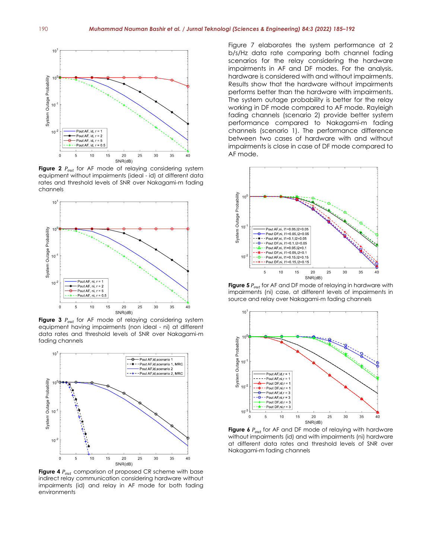

**Figure 2**  $P_{out}$  for AF mode of relaying considering system equipment without impairments (ideal - id) at different data rates and threshold levels of SNR over Nakagami-m fading channels



Figure 3  $P_{out}$  for AF mode of relaying considering system equipment having impairments (non ideal - ni) at different data rates and threshold levels of SNR over Nakagami-m fading channels



Figure 4  $P_{out}$  comparison of proposed CR scheme with base indirect relay communication considering hardware without impairments (id) and relay in AF mode for both fading environments

Figure 7 elaborates the system performance at 2 b/s/Hz data rate comparing both channel fading scenarios for the relay considering the hardware impairments in AF and DF modes. For the analysis, hardware is considered with and without impairments. Results show that the hardware without impairments performs better than the hardware with impairments. The system outage probability is better for the relay working in DF mode compared to AF mode. Rayleigh fading channels (scenario 2) provide better system performance compared to Nakagami-m fading channels (scenario 1). The performance difference between two cases of hardware with and without impairments is close in case of DF mode compared to AF mode.



**Figure 5**  $P_{out}$  for AF and DF mode of relaying in hardware with impairments (ni) case, at different levels of impairments in source and relay over Nakagami-m fading channels



Figure 6  $P_{out}$  for AF and DF mode of relaying with hardware without impairments (id) and with impairments (ni) hardware at different data rates and threshold levels of SNR over Nakagami-m fading channels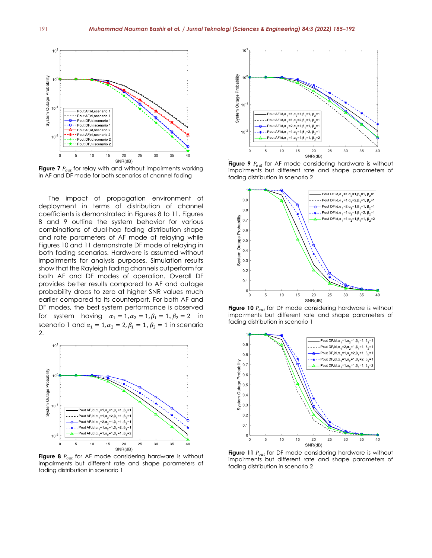

**Figure 7**  $P_{out}$  for relay with and without impairments working in AF and DF mode for both scenarios of channel fading

The impact of propagation environment of deployment in terms of distribution of channel coefficients is demonstrated in Figures 8 to 11. Figures 8 and 9 outline the system behavior for various combinations of dual-hop fading distribution shape and rate parameters of AF mode of relaying while Figures 10 and 11 demonstrate DF mode of relaying in both fading scenarios. Hardware is assumed without impairments for analysis purposes. Simulation results show that the Rayleigh fading channels outperform for both AF and DF modes of operation. Overall DF provides better results compared to AF and outage probability drops to zero at higher SNR values much earlier compared to its counterpart. For both AF and DF modes, the best system performance is observed for system having  $\alpha_1 = 1, \alpha_2 = 1, \beta_1 = 1, \beta_2 = 2$  in scenario 1 and  $\alpha_1 = 1, \alpha_2 = 2, \beta_1 = 1, \beta_2 = 1$  in scenario 2.



Figure 8  $P_{out}$  for AF mode considering hardware is without impairments but different rate and shape parameters of fading distribution in scenario 1



Figure 9  $P_{out}$  for AF mode considering hardware is without impairments but different rate and shape parameters of fading distribution in scenario 2



**Figure 10**  $P_{out}$  for DF mode considering hardware is without impairments but different rate and shape parameters of fading distribution in scenario 1



**Figure 11**  $P_{out}$  for DF mode considering hardware is without impairments but different rate and shape parameters of fading distribution in scenario 2